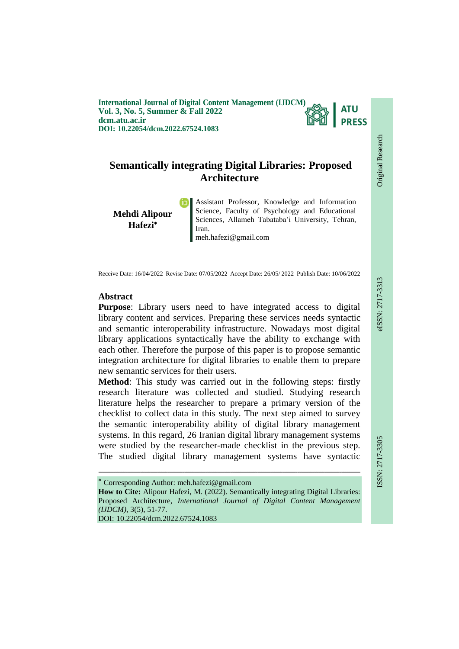**International Journal of Digital Content Management (IJDCM) Vol. 3, No. 5, Summer & Fall 2022 dcm.atu.ac.ir DOI: 10.22054/dcm.2022.67524.1083**



# **Semantically integrating Digital Libraries: Proposed Architecture**

**Mehdi Alipour Hafezi**

Assistant Professor, Knowledge and Information Science, Faculty of Psychology and Educational Sciences, Allameh Tabataba'i University, Tehran, Iran. meh.hafezi@gmail.com

Receive Date: 16/04/2022 Revise Date: 07/05/2022 Accept Date: 26/05/ 2022 Publish Date: 10/06/2022

# **Abstract**

**Purpose**: Library users need to have integrated access to digital library content and services. Preparing these services needs syntactic and semantic interoperability infrastructure. Nowadays most digital library applications syntactically have the ability to exchange with each other. Therefore the purpose of this paper is to propose semantic integration architecture for digital libraries to enable them to prepare new semantic services for their users.

**Method**: This study was carried out in the following steps: firstly research literature was collected and studied. Studying research literature helps the researcher to prepare a primary version of the checklist to collect data in this study. The next step aimed to survey the semantic interoperability ability of digital library management systems. In this regard, 26 Iranian digital library management systems were studied by the researcher-made checklist in the previous step. The studied digital library management systems have syntactic

ـــــــــــــــــــــــــــــــــــــــــــــــــــــــــــــــــــــــــــــــــــــــــــــــــــــــــــــــــــــــــــــ

DOI: 10.22054/dcm.2022.67524.1083

Original Research

**Original Research** 

Corresponding Author: meh.hafezi@gmail.com

**How to Cite:** Alipour Hafezi, M. (2022). Semantically integrating Digital Libraries: Proposed Architecture, *International Journal of Digital Content Management (IJDCM)*, 3(5), 51-77.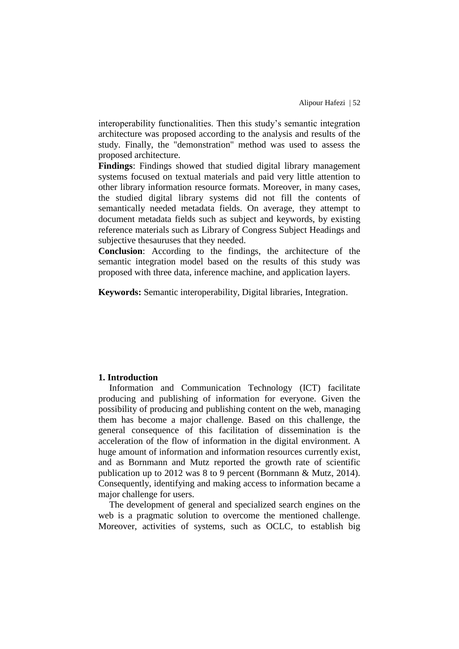interoperability functionalities. Then this study's semantic integration architecture was proposed according to the analysis and results of the study. Finally, the "demonstration" method was used to assess the proposed architecture.

**Findings**: Findings showed that studied digital library management systems focused on textual materials and paid very little attention to other library information resource formats. Moreover, in many cases, the studied digital library systems did not fill the contents of semantically needed metadata fields. On average, they attempt to document metadata fields such as subject and keywords, by existing reference materials such as Library of Congress Subject Headings and subjective thesauruses that they needed.

**Conclusion**: According to the findings, the architecture of the semantic integration model based on the results of this study was proposed with three data, inference machine, and application layers.

**Keywords:** Semantic interoperability, Digital libraries, Integration.

# **1. Introduction**

Information and Communication Technology (ICT) facilitate producing and publishing of information for everyone. Given the possibility of producing and publishing content on the web, managing them has become a major challenge. Based on this challenge, the general consequence of this facilitation of dissemination is the acceleration of the flow of information in the digital environment. A huge amount of information and information resources currently exist, and as Bornmann and Mutz reported the growth rate of scientific publication up to 2012 was 8 to 9 percent (Bornmann & Mutz, 2014). Consequently, identifying and making access to information became a major challenge for users.

The development of general and specialized search engines on the web is a pragmatic solution to overcome the mentioned challenge. Moreover, activities of systems, such as OCLC, to establish big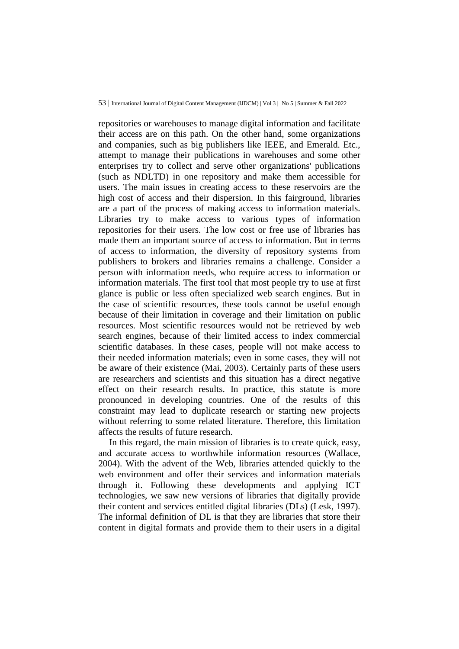repositories or warehouses to manage digital information and facilitate their access are on this path. On the other hand, some organizations and companies, such as big publishers like IEEE, and Emerald. Etc., attempt to manage their publications in warehouses and some other enterprises try to collect and serve other organizations' publications (such as NDLTD) in one repository and make them accessible for users. The main issues in creating access to these reservoirs are the high cost of access and their dispersion. In this fairground, libraries are a part of the process of making access to information materials. Libraries try to make access to various types of information repositories for their users. The low cost or free use of libraries has made them an important source of access to information. But in terms of access to information, the diversity of repository systems from publishers to brokers and libraries remains a challenge. Consider a person with information needs, who require access to information or information materials. The first tool that most people try to use at first glance is public or less often specialized web search engines. But in the case of scientific resources, these tools cannot be useful enough because of their limitation in coverage and their limitation on public resources. Most scientific resources would not be retrieved by web search engines, because of their limited access to index commercial scientific databases. In these cases, people will not make access to their needed information materials; even in some cases, they will not be aware of their existence (Mai, 2003). Certainly parts of these users are researchers and scientists and this situation has a direct negative effect on their research results. In practice, this statute is more pronounced in developing countries. One of the results of this constraint may lead to duplicate research or starting new projects without referring to some related literature. Therefore, this limitation affects the results of future research.

In this regard, the main mission of libraries is to create quick, easy, and accurate access to worthwhile information resources (Wallace, 2004). With the advent of the Web, libraries attended quickly to the web environment and offer their services and information materials through it. Following these developments and applying ICT technologies, we saw new versions of libraries that digitally provide their content and services entitled digital libraries (DLs) (Lesk, 1997). The informal definition of DL is that they are libraries that store their content in digital formats and provide them to their users in a digital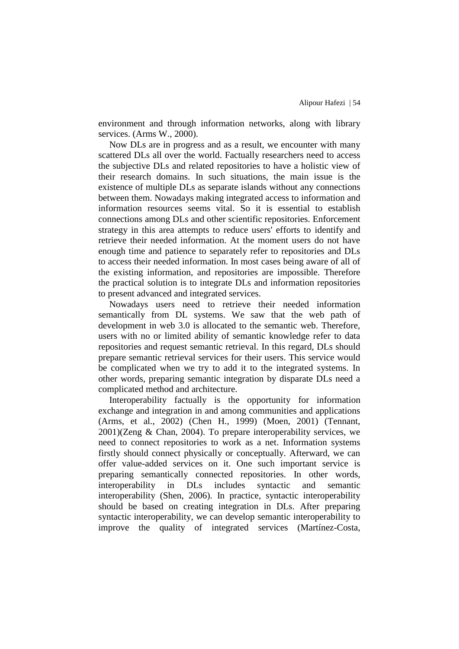environment and through information networks, along with library services. (Arms W., 2000).

Now DLs are in progress and as a result, we encounter with many scattered DLs all over the world. Factually researchers need to access the subjective DLs and related repositories to have a holistic view of their research domains. In such situations, the main issue is the existence of multiple DLs as separate islands without any connections between them. Nowadays making integrated access to information and information resources seems vital. So it is essential to establish connections among DLs and other scientific repositories. Enforcement strategy in this area attempts to reduce users' efforts to identify and retrieve their needed information. At the moment users do not have enough time and patience to separately refer to repositories and DLs to access their needed information. In most cases being aware of all of the existing information, and repositories are impossible. Therefore the practical solution is to integrate DLs and information repositories to present advanced and integrated services.

Nowadays users need to retrieve their needed information semantically from DL systems. We saw that the web path of development in web 3.0 is allocated to the semantic web. Therefore, users with no or limited ability of semantic knowledge refer to data repositories and request semantic retrieval. In this regard, DLs should prepare semantic retrieval services for their users. This service would be complicated when we try to add it to the integrated systems. In other words, preparing semantic integration by disparate DLs need a complicated method and architecture.

Interoperability factually is the opportunity for information exchange and integration in and among communities and applications (Arms, et al., 2002) (Chen H., 1999) (Moen, 2001) (Tennant, 2001)(Zeng & Chan, 2004). To prepare interoperability services, we need to connect repositories to work as a net. Information systems firstly should connect physically or conceptually. Afterward, we can offer value-added services on it. One such important service is preparing semantically connected repositories. In other words, interoperability in DLs includes syntactic and semantic interoperability (Shen, 2006). In practice, syntactic interoperability should be based on creating integration in DLs. After preparing syntactic interoperability, we can develop semantic interoperability to improve the quality of integrated services (Martínez-Costa,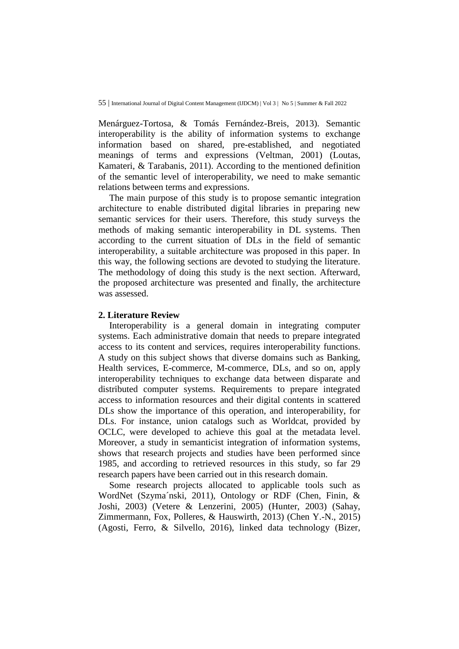Menárguez-Tortosa, & Tomás Fernández-Breis, 2013). Semantic interoperability is the ability of information systems to exchange information based on shared, pre-established, and negotiated meanings of terms and expressions (Veltman, 2001) (Loutas, Kamateri, & Tarabanis, 2011). According to the mentioned definition of the semantic level of interoperability, we need to make semantic relations between terms and expressions.

The main purpose of this study is to propose semantic integration architecture to enable distributed digital libraries in preparing new semantic services for their users. Therefore, this study surveys the methods of making semantic interoperability in DL systems. Then according to the current situation of DLs in the field of semantic interoperability, a suitable architecture was proposed in this paper. In this way, the following sections are devoted to studying the literature. The methodology of doing this study is the next section. Afterward, the proposed architecture was presented and finally, the architecture was assessed.

### **2. Literature Review**

Interoperability is a general domain in integrating computer systems. Each administrative domain that needs to prepare integrated access to its content and services, requires interoperability functions. A study on this subject shows that diverse domains such as Banking, Health services, E-commerce, M-commerce, DLs, and so on, apply interoperability techniques to exchange data between disparate and distributed computer systems. Requirements to prepare integrated access to information resources and their digital contents in scattered DLs show the importance of this operation, and interoperability, for DLs. For instance, union catalogs such as Worldcat, provided by OCLC, were developed to achieve this goal at the metadata level. Moreover, a study in semanticist integration of information systems, shows that research projects and studies have been performed since 1985, and according to retrieved resources in this study, so far 29 research papers have been carried out in this research domain.

Some research projects allocated to applicable tools such as WordNet (Szyma´nski, 2011), Ontology or RDF (Chen, Finin, & Joshi, 2003) (Vetere & Lenzerini, 2005) (Hunter, 2003) (Sahay, Zimmermann, Fox, Polleres, & Hauswirth, 2013) (Chen Y.-N., 2015) (Agosti, Ferro, & Silvello, 2016), linked data technology (Bizer,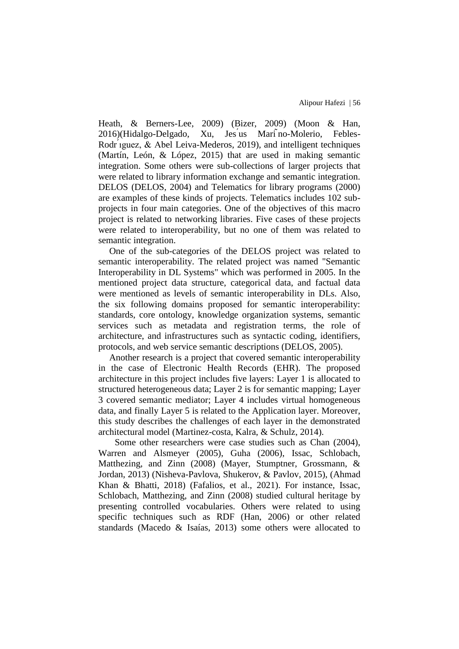Heath, & Berners-Lee, 2009) (Bizer, 2009) (Moon & Han, 2016)(Hidalgo-Delgado, Xu, Jes us Mari no-Molerio, Febles-Rodr ́ıguez, & Abel Leiva-Mederos, 2019), and intelligent techniques (Martín, León, & López, 2015) that are used in making semantic integration. Some others were sub-collections of larger projects that were related to library information exchange and semantic integration. DELOS (DELOS, 2004) and Telematics for library programs (2000) are examples of these kinds of projects. Telematics includes 102 subprojects in four main categories. One of the objectives of this macro project is related to networking libraries. Five cases of these projects were related to interoperability, but no one of them was related to semantic integration.

One of the sub-categories of the DELOS project was related to semantic interoperability. The related project was named "Semantic Interoperability in DL Systems" which was performed in 2005. In the mentioned project data structure, categorical data, and factual data were mentioned as levels of semantic interoperability in DLs. Also, the six following domains proposed for semantic interoperability: standards, core ontology, knowledge organization systems, semantic services such as metadata and registration terms, the role of architecture, and infrastructures such as syntactic coding, identifiers, protocols, and web service semantic descriptions (DELOS, 2005).

Another research is a project that covered semantic interoperability in the case of Electronic Health Records (EHR). The proposed architecture in this project includes five layers: Layer 1 is allocated to structured heterogeneous data; Layer 2 is for semantic mapping; Layer 3 covered semantic mediator; Layer 4 includes virtual homogeneous data, and finally Layer 5 is related to the Application layer. Moreover, this study describes the challenges of each layer in the demonstrated architectural model (Martinez-costa, Kalra, & Schulz, 2014).

Some other researchers were case studies such as Chan (2004), Warren and Alsmeyer (2005), Guha (2006), Issac, Schlobach, Matthezing, and Zinn (2008) (Mayer, Stumptner, Grossmann, & Jordan, 2013) (Nisheva-Pavlova, Shukerov, & Pavlov, 2015), (Ahmad Khan & Bhatti, 2018) (Fafalios, et al., 2021). For instance, Issac, Schlobach, Matthezing, and Zinn (2008) studied cultural heritage by presenting controlled vocabularies. Others were related to using specific techniques such as RDF (Han, 2006) or other related standards (Macedo & Isaías, 2013) some others were allocated to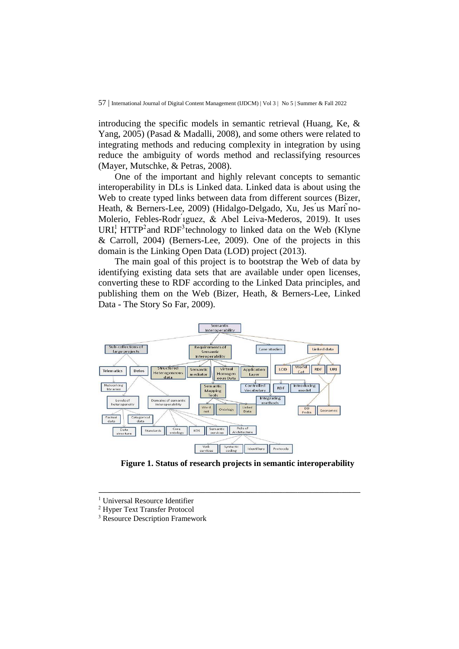introducing the specific models in semantic retrieval (Huang, Ke, & Yang, 2005) (Pasad & Madalli, 2008), and some others were related to integrating methods and reducing complexity in integration by using reduce the ambiguity of words method and reclassifying resources (Mayer, Mutschke, & Petras, 2008).

One of the important and highly relevant concepts to semantic interoperability in DLs is Linked data. Linked data is about using the Web to create typed links between data from different sources (Bizer, Heath, & Berners-Lee, 2009) (Hidalgo-Delgado, Xu, Jes us Mari no-Molerio, Febles-Rodr ́ıguez, & Abel Leiva-Mederos, 2019). It uses URI<sup>1</sup>, HTTP<sup>2</sup> and RDF<sup>3</sup> technology to linked data on the Web (Klyne & Carroll, 2004) (Berners-Lee, 2009). One of the projects in this domain is the Linking Open Data (LOD) project (2013).

The main goal of this project is to bootstrap the Web of data by identifying existing data sets that are available under open licenses, converting these to RDF according to the Linked Data principles, and publishing them on the Web (Bizer, Heath, & Berners-Lee, Linked Data - The Story So Far, 2009).



**Figure 1. Status of research projects in semantic interoperability**

ـــــــــــــــــــــــــــــــــــــــــــــــــــــــــــــــــــــــــــــــــــــــــــــــــــــــــــــــــــــــــــــ

<sup>&</sup>lt;sup>1</sup> Universal Resource Identifier

<sup>2</sup> Hyper Text Transfer Protocol

<sup>&</sup>lt;sup>3</sup> Resource Description Framework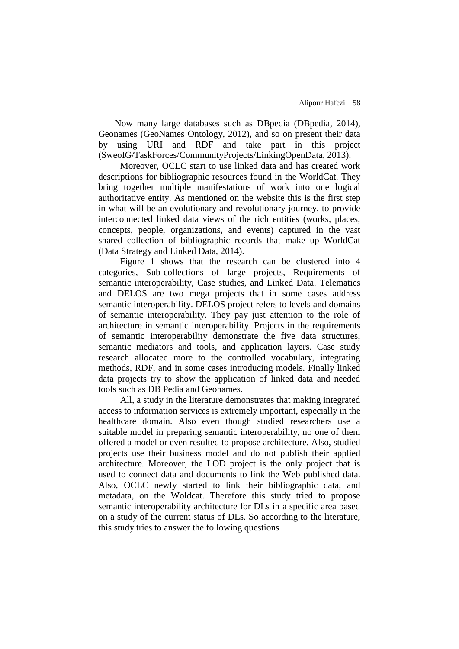Now many large databases such as DBpedia (DBpedia, 2014), Geonames (GeoNames Ontology, 2012), and so on present their data by using URI and RDF and take part in this project (SweoIG/TaskForces/CommunityProjects/LinkingOpenData, 2013).

Moreover, OCLC start to use linked data and has created work descriptions for bibliographic resources found in the WorldCat. They bring together multiple manifestations of work into one logical authoritative entity. As mentioned on the website this is the first step in what will be an evolutionary and revolutionary journey, to provide interconnected linked data views of the rich entities (works, places, concepts, people, organizations, and events) captured in the vast shared collection of bibliographic records that make up WorldCat (Data Strategy and Linked Data, 2014).

Figure 1 shows that the research can be clustered into 4 categories, Sub-collections of large projects, Requirements of semantic interoperability, Case studies, and Linked Data. Telematics and DELOS are two mega projects that in some cases address semantic interoperability. DELOS project refers to levels and domains of semantic interoperability. They pay just attention to the role of architecture in semantic interoperability. Projects in the requirements of semantic interoperability demonstrate the five data structures, semantic mediators and tools, and application layers. Case study research allocated more to the controlled vocabulary, integrating methods, RDF, and in some cases introducing models. Finally linked data projects try to show the application of linked data and needed tools such as DB Pedia and Geonames.

All, a study in the literature demonstrates that making integrated access to information services is extremely important, especially in the healthcare domain. Also even though studied researchers use a suitable model in preparing semantic interoperability, no one of them offered a model or even resulted to propose architecture. Also, studied projects use their business model and do not publish their applied architecture. Moreover, the LOD project is the only project that is used to connect data and documents to link the Web published data. Also, OCLC newly started to link their bibliographic data, and metadata, on the Woldcat. Therefore this study tried to propose semantic interoperability architecture for DLs in a specific area based on a study of the current status of DLs. So according to the literature, this study tries to answer the following questions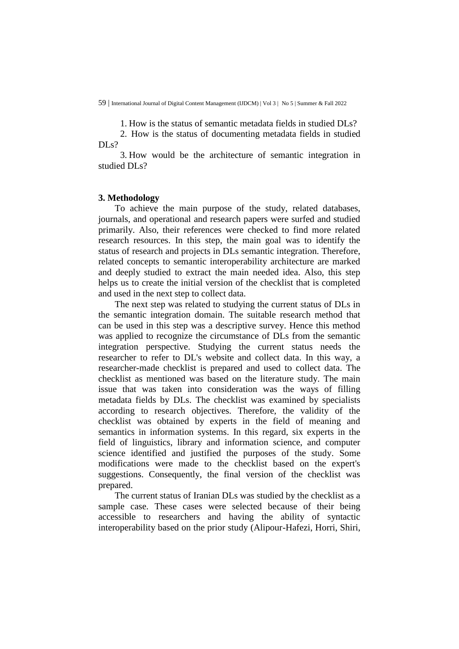1. How is the status of semantic metadata fields in studied DLs?

2. How is the status of documenting metadata fields in studied  $DIs?$ 

3. How would be the architecture of semantic integration in studied DLs?

### **3. Methodology**

To achieve the main purpose of the study, related databases, journals, and operational and research papers were surfed and studied primarily. Also, their references were checked to find more related research resources. In this step, the main goal was to identify the status of research and projects in DLs semantic integration. Therefore, related concepts to semantic interoperability architecture are marked and deeply studied to extract the main needed idea. Also, this step helps us to create the initial version of the checklist that is completed and used in the next step to collect data.

The next step was related to studying the current status of DLs in the semantic integration domain. The suitable research method that can be used in this step was a descriptive survey. Hence this method was applied to recognize the circumstance of DLs from the semantic integration perspective. Studying the current status needs the researcher to refer to DL's website and collect data. In this way, a researcher-made checklist is prepared and used to collect data. The checklist as mentioned was based on the literature study. The main issue that was taken into consideration was the ways of filling metadata fields by DLs. The checklist was examined by specialists according to research objectives. Therefore, the validity of the checklist was obtained by experts in the field of meaning and semantics in information systems. In this regard, six experts in the field of linguistics, library and information science, and computer science identified and justified the purposes of the study. Some modifications were made to the checklist based on the expert's suggestions. Consequently, the final version of the checklist was prepared.

The current status of Iranian DLs was studied by the checklist as a sample case. These cases were selected because of their being accessible to researchers and having the ability of syntactic interoperability based on the prior study (Alipour-Hafezi, Horri, Shiri,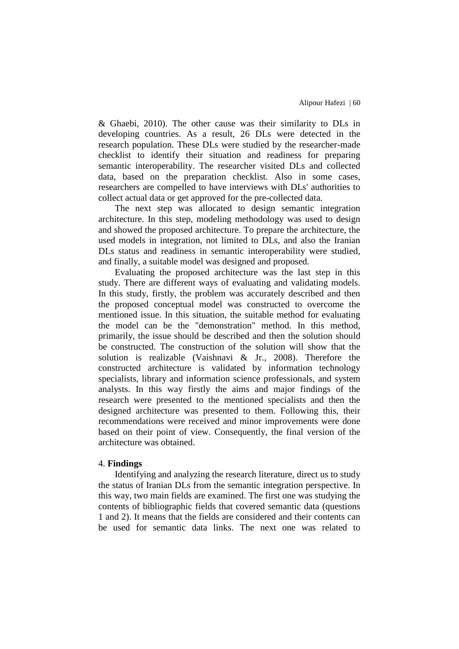& Ghaebi, 2010). The other cause was their similarity to DLs in developing countries. As a result, 26 DLs were detected in the research population. These DLs were studied by the researcher-made checklist to identify their situation and readiness for preparing semantic interoperability. The researcher visited DLs and collected data, based on the preparation checklist. Also in some cases, researchers are compelled to have interviews with DLs' authorities to collect actual data or get approved for the pre-collected data.

The next step was allocated to design semantic integration architecture. In this step, modeling methodology was used to design and showed the proposed architecture. To prepare the architecture, the used models in integration, not limited to DLs, and also the Iranian DLs status and readiness in semantic interoperability were studied, and finally, a suitable model was designed and proposed.

Evaluating the proposed architecture was the last step in this study. There are different ways of evaluating and validating models. In this study, firstly, the problem was accurately described and then the proposed conceptual model was constructed to overcome the mentioned issue. In this situation, the suitable method for evaluating the model can be the "demonstration" method. In this method, primarily, the issue should be described and then the solution should be constructed. The construction of the solution will show that the solution is realizable (Vaishnavi & Jr., 2008). Therefore the constructed architecture is validated by information technology specialists, library and information science professionals, and system analysts. In this way firstly the aims and major findings of the research were presented to the mentioned specialists and then the designed architecture was presented to them. Following this, their recommendations were received and minor improvements were done based on their point of view. Consequently, the final version of the architecture was obtained.

#### 4. **Findings**

Identifying and analyzing the research literature, direct us to study the status of Iranian DLs from the semantic integration perspective. In this way, two main fields are examined. The first one was studying the contents of bibliographic fields that covered semantic data (questions 1 and 2). It means that the fields are considered and their contents can be used for semantic data links. The next one was related to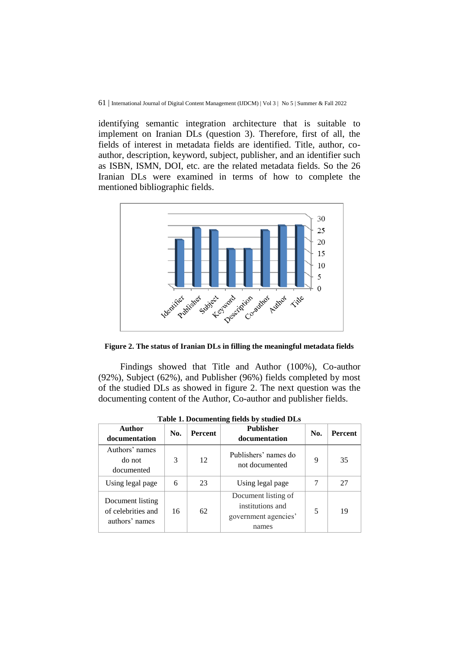identifying semantic integration architecture that is suitable to implement on Iranian DLs (question 3). Therefore, first of all, the fields of interest in metadata fields are identified. Title, author, coauthor, description, keyword, subject, publisher, and an identifier such as ISBN, ISMN, DOI, etc. are the related metadata fields. So the 26 Iranian DLs were examined in terms of how to complete the mentioned bibliographic fields.



**Figure 2. The status of Iranian DLs in filling the meaningful metadata fields**

Findings showed that Title and Author (100%), Co-author (92%), Subject (62%), and Publisher (96%) fields completed by most of the studied DLs as showed in figure 2. The next question was the documenting content of the Author, Co-author and publisher fields.

| Author<br>documentation                                  | No. | <b>Percent</b> | <b>Publisher</b><br>documentation                                        | No. | Percent |
|----------------------------------------------------------|-----|----------------|--------------------------------------------------------------------------|-----|---------|
| Authors' names<br>do not<br>documented                   | 3   | 12             | Publishers' names do<br>not documented                                   | 9   | 35      |
| Using legal page                                         | 6   | 23             | Using legal page                                                         | 7   | 27      |
| Document listing<br>of celebrities and<br>authors' names | 16  | 62             | Document listing of<br>institutions and<br>government agencies'<br>names | 5   | 19      |

**Table 1. Documenting fields by studied DLs**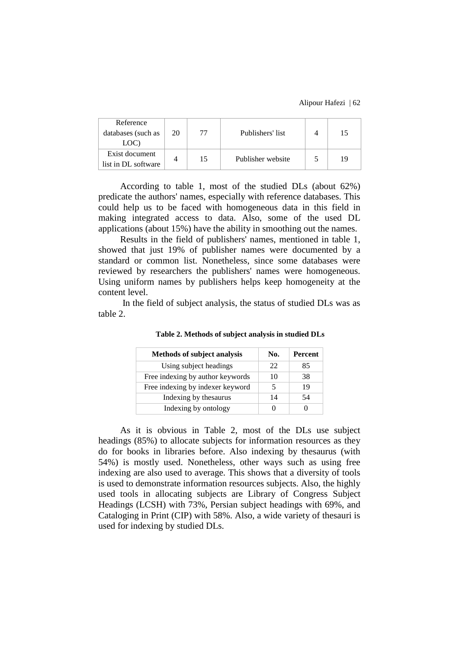| Reference<br>databases (such as | 20 | 77 | Publishers' list  | 15 |
|---------------------------------|----|----|-------------------|----|
| LOC)                            |    |    |                   |    |
| Exist document                  |    | 15 | Publisher website | 19 |
| list in DL software             |    |    |                   |    |

According to table 1, most of the studied DLs (about 62%) predicate the authors' names, especially with reference databases. This could help us to be faced with homogeneous data in this field in making integrated access to data. Also, some of the used DL applications (about 15%) have the ability in smoothing out the names.

Results in the field of publishers' names, mentioned in table 1, showed that just 19% of publisher names were documented by a standard or common list. Nonetheless, since some databases were reviewed by researchers the publishers' names were homogeneous. Using uniform names by publishers helps keep homogeneity at the content level.

In the field of subject analysis, the status of studied DLs was as table 2.

| <b>Methods of subject analysis</b> | No. | Percent |
|------------------------------------|-----|---------|
| Using subject headings             | 22  | 85      |
| Free indexing by author keywords   | 10  | 38      |
| Free indexing by indexer keyword   |     | 19      |
| Indexing by the saurus             | 14  | 54      |
| Indexing by ontology               |     |         |

**Table 2. Methods of subject analysis in studied DLs**

As it is obvious in Table 2, most of the DLs use subject headings (85%) to allocate subjects for information resources as they do for books in libraries before. Also indexing by thesaurus (with 54%) is mostly used. Nonetheless, other ways such as using free indexing are also used to average. This shows that a diversity of tools is used to demonstrate information resources subjects. Also, the highly used tools in allocating subjects are Library of Congress Subject Headings (LCSH) with 73%, Persian subject headings with 69%, and Cataloging in Print (CIP) with 58%. Also, a wide variety of thesauri is used for indexing by studied DLs.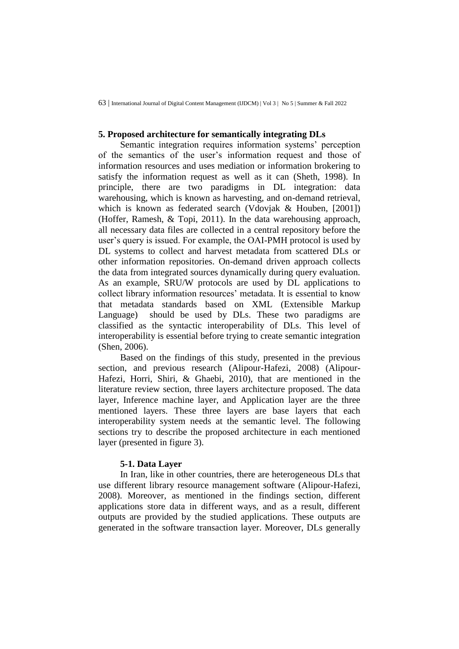# **5. Proposed architecture for semantically integrating DLs**

Semantic integration requires information systems' perception of the semantics of the user's information request and those of information resources and uses mediation or information brokering to satisfy the information request as well as it can (Sheth, 1998). In principle, there are two paradigms in DL integration: data warehousing, which is known as harvesting, and on-demand retrieval, which is known as federated search (Vdovjak & Houben, [2001]) (Hoffer, Ramesh, & Topi, 2011). In the data warehousing approach, all necessary data files are collected in a central repository before the user's query is issued. For example, the OAI-PMH protocol is used by DL systems to collect and harvest metadata from scattered DLs or other information repositories. On-demand driven approach collects the data from integrated sources dynamically during query evaluation. As an example, SRU/W protocols are used by DL applications to collect library information resources' metadata. It is essential to know that metadata standards based on XML (Extensible Markup Language) should be used by DLs. These two paradigms are classified as the syntactic interoperability of DLs. This level of interoperability is essential before trying to create semantic integration (Shen, 2006).

Based on the findings of this study, presented in the previous section, and previous research (Alipour-Hafezi, 2008) (Alipour-Hafezi, Horri, Shiri, & Ghaebi, 2010), that are mentioned in the literature review section, three layers architecture proposed. The data layer, Inference machine layer, and Application layer are the three mentioned layers. These three layers are base layers that each interoperability system needs at the semantic level. The following sections try to describe the proposed architecture in each mentioned layer (presented in figure 3).

#### **5-1. Data Layer**

In Iran, like in other countries, there are heterogeneous DLs that use different library resource management software (Alipour-Hafezi, 2008). Moreover, as mentioned in the findings section, different applications store data in different ways, and as a result, different outputs are provided by the studied applications. These outputs are generated in the software transaction layer. Moreover, DLs generally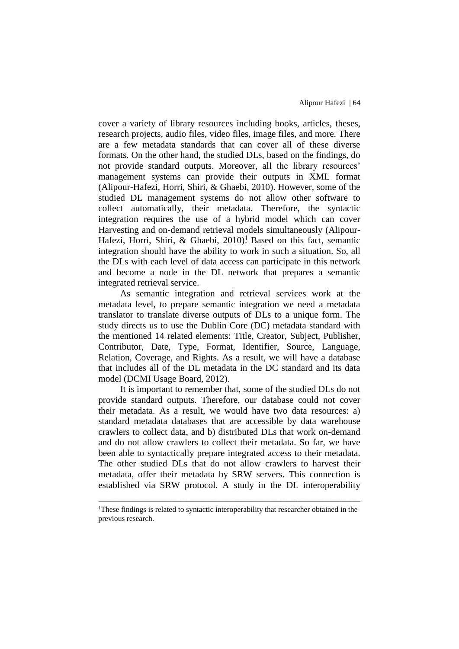cover a variety of library resources including books, articles, theses, research projects, audio files, video files, image files, and more. There are a few metadata standards that can cover all of these diverse formats. On the other hand, the studied DLs, based on the findings, do not provide standard outputs. Moreover, all the library resources' management systems can provide their outputs in XML format (Alipour-Hafezi, Horri, Shiri, & Ghaebi, 2010). However, some of the studied DL management systems do not allow other software to collect automatically, their metadata. Therefore, the syntactic integration requires the use of a hybrid model which can cover Harvesting and on-demand retrieval models simultaneously (Alipour-Hafezi, Horri, Shiri, & Ghaebi, 2010)<sup>1</sup> Based on this fact, semantic integration should have the ability to work in such a situation. So, all the DLs with each level of data access can participate in this network and become a node in the DL network that prepares a semantic integrated retrieval service.

As semantic integration and retrieval services work at the metadata level, to prepare semantic integration we need a metadata translator to translate diverse outputs of DLs to a unique form. The study directs us to use the Dublin Core (DC) metadata standard with the mentioned 14 related elements: Title, Creator, Subject, Publisher, Contributor, Date, Type, Format, Identifier, Source, Language, Relation, Coverage, and Rights. As a result, we will have a database that includes all of the DL metadata in the DC standard and its data model (DCMI Usage Board, 2012).

It is important to remember that, some of the studied DLs do not provide standard outputs. Therefore, our database could not cover their metadata. As a result, we would have two data resources: a) standard metadata databases that are accessible by data warehouse crawlers to collect data, and b) distributed DLs that work on-demand and do not allow crawlers to collect their metadata. So far, we have been able to syntactically prepare integrated access to their metadata. The other studied DLs that do not allow crawlers to harvest their metadata, offer their metadata by SRW servers. This connection is established via SRW protocol. A study in the DL interoperability

ـــــــــــــــــــــــــــــــــــــــــــــــــــــــــــــــــــــــــــــــــــــــــــــــــــــــــــــــــــــــــــــ <sup>1</sup>These findings is related to syntactic interoperability that researcher obtained in the previous research.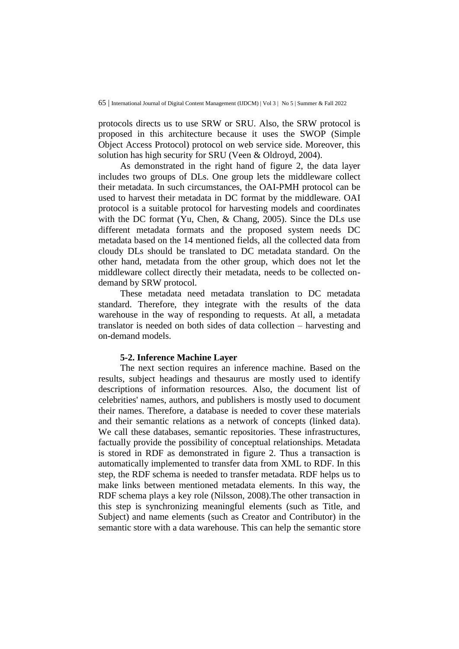protocols directs us to use SRW or SRU. Also, the SRW protocol is proposed in this architecture because it uses the SWOP (Simple Object Access Protocol) protocol on web service side. Moreover, this solution has high security for SRU (Veen & Oldroyd, 2004).

As demonstrated in the right hand of figure 2, the data layer includes two groups of DLs. One group lets the middleware collect their metadata. In such circumstances, the OAI-PMH protocol can be used to harvest their metadata in DC format by the middleware. OAI protocol is a suitable protocol for harvesting models and coordinates with the DC format (Yu, Chen, & Chang, 2005). Since the DLs use different metadata formats and the proposed system needs DC metadata based on the 14 mentioned fields, all the collected data from cloudy DLs should be translated to DC metadata standard. On the other hand, metadata from the other group, which does not let the middleware collect directly their metadata, needs to be collected ondemand by SRW protocol.

These metadata need metadata translation to DC metadata standard. Therefore, they integrate with the results of the data warehouse in the way of responding to requests. At all, a metadata translator is needed on both sides of data collection – harvesting and on-demand models.

#### **5-2. Inference Machine Layer**

The next section requires an inference machine. Based on the results, subject headings and thesaurus are mostly used to identify descriptions of information resources. Also, the document list of celebrities' names, authors, and publishers is mostly used to document their names. Therefore, a database is needed to cover these materials and their semantic relations as a network of concepts (linked data). We call these databases, semantic repositories. These infrastructures, factually provide the possibility of conceptual relationships. Metadata is stored in RDF as demonstrated in figure 2. Thus a transaction is automatically implemented to transfer data from XML to RDF. In this step, the RDF schema is needed to transfer metadata. RDF helps us to make links between mentioned metadata elements. In this way, the RDF schema plays a key role (Nilsson, 2008).The other transaction in this step is synchronizing meaningful elements (such as Title, and Subject) and name elements (such as Creator and Contributor) in the semantic store with a data warehouse. This can help the semantic store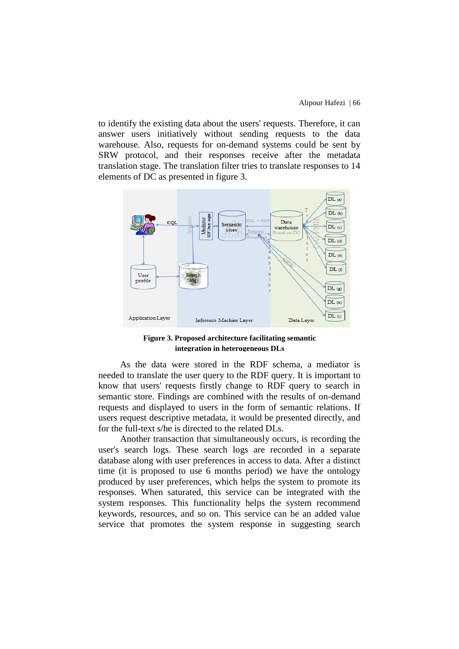to identify the existing data about the users' requests. Therefore, it can answer users initiatively without sending requests to the data warehouse. Also, requests for on-demand systems could be sent by SRW protocol, and their responses receive after the metadata translation stage. The translation filter tries to translate responses to 14 elements of DC as presented in figure 3.



**Figure 3. Proposed architecture facilitating semantic integration in heterogeneous DLs**

As the data were stored in the RDF schema, a mediator is needed to translate the user query to the RDF query. It is important to know that users' requests firstly change to RDF query to search in semantic store. Findings are combined with the results of on-demand requests and displayed to users in the form of semantic relations. If users request descriptive metadata, it would be presented directly, and for the full-text s/he is directed to the related DLs.

Another transaction that simultaneously occurs, is recording the user's search logs. These search logs are recorded in a separate database along with user preferences in access to data. After a distinct time (it is proposed to use 6 months period) we have the ontology produced by user preferences, which helps the system to promote its responses. When saturated, this service can be integrated with the system responses. This functionality helps the system recommend keywords, resources, and so on. This service can be an added value service that promotes the system response in suggesting search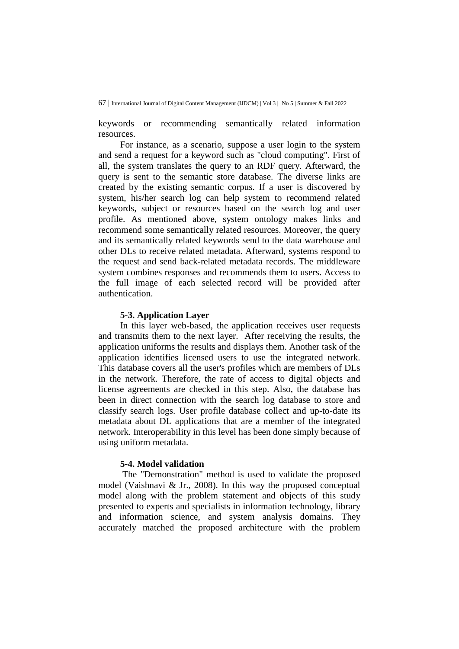keywords or recommending semantically related information resources.

For instance, as a scenario, suppose a user login to the system and send a request for a keyword such as "cloud computing". First of all, the system translates the query to an RDF query. Afterward, the query is sent to the semantic store database. The diverse links are created by the existing semantic corpus. If a user is discovered by system, his/her search log can help system to recommend related keywords, subject or resources based on the search log and user profile. As mentioned above, system ontology makes links and recommend some semantically related resources. Moreover, the query and its semantically related keywords send to the data warehouse and other DLs to receive related metadata. Afterward, systems respond to the request and send back-related metadata records. The middleware system combines responses and recommends them to users. Access to the full image of each selected record will be provided after authentication.

#### **5-3. Application Layer**

In this layer web-based, the application receives user requests and transmits them to the next layer. After receiving the results, the application uniforms the results and displays them. Another task of the application identifies licensed users to use the integrated network. This database covers all the user's profiles which are members of DLs in the network. Therefore, the rate of access to digital objects and license agreements are checked in this step. Also, the database has been in direct connection with the search log database to store and classify search logs. User profile database collect and up-to-date its metadata about DL applications that are a member of the integrated network. Interoperability in this level has been done simply because of using uniform metadata.

# **5-4. Model validation**

The "Demonstration" method is used to validate the proposed model (Vaishnavi & Jr., 2008). In this way the proposed conceptual model along with the problem statement and objects of this study presented to experts and specialists in information technology, library and information science, and system analysis domains. They accurately matched the proposed architecture with the problem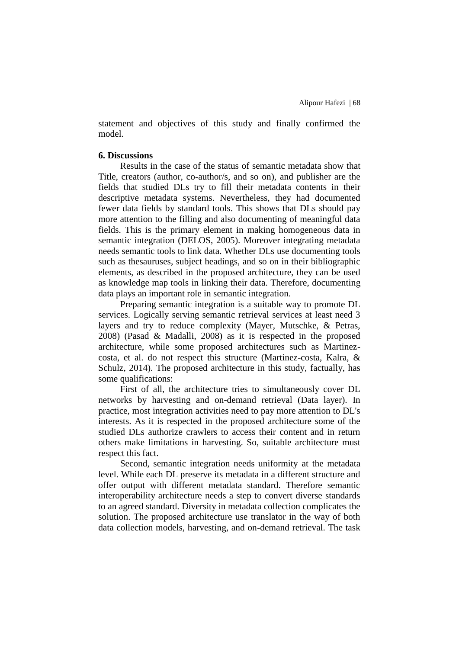statement and objectives of this study and finally confirmed the model.

# **6. Discussions**

Results in the case of the status of semantic metadata show that Title, creators (author, co-author/s, and so on), and publisher are the fields that studied DLs try to fill their metadata contents in their descriptive metadata systems. Nevertheless, they had documented fewer data fields by standard tools. This shows that DLs should pay more attention to the filling and also documenting of meaningful data fields. This is the primary element in making homogeneous data in semantic integration (DELOS, 2005). Moreover integrating metadata needs semantic tools to link data. Whether DLs use documenting tools such as thesauruses, subject headings, and so on in their bibliographic elements, as described in the proposed architecture, they can be used as knowledge map tools in linking their data. Therefore, documenting data plays an important role in semantic integration.

Preparing semantic integration is a suitable way to promote DL services. Logically serving semantic retrieval services at least need 3 layers and try to reduce complexity (Mayer, Mutschke, & Petras, 2008) (Pasad & Madalli, 2008) as it is respected in the proposed architecture, while some proposed architectures such as Martinezcosta, et al. do not respect this structure (Martinez-costa, Kalra, & Schulz, 2014). The proposed architecture in this study, factually, has some qualifications:

First of all, the architecture tries to simultaneously cover DL networks by harvesting and on-demand retrieval (Data layer). In practice, most integration activities need to pay more attention to DL's interests. As it is respected in the proposed architecture some of the studied DLs authorize crawlers to access their content and in return others make limitations in harvesting. So, suitable architecture must respect this fact.

Second, semantic integration needs uniformity at the metadata level. While each DL preserve its metadata in a different structure and offer output with different metadata standard. Therefore semantic interoperability architecture needs a step to convert diverse standards to an agreed standard. Diversity in metadata collection complicates the solution. The proposed architecture use translator in the way of both data collection models, harvesting, and on-demand retrieval. The task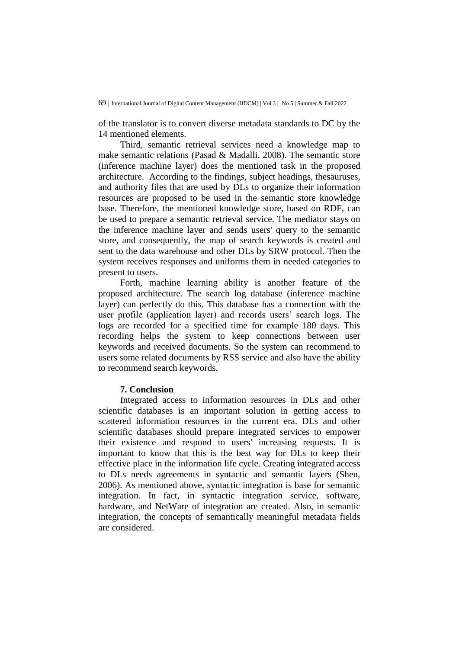of the translator is to convert diverse metadata standards to DC by the 14 mentioned elements.

Third, semantic retrieval services need a knowledge map to make semantic relations (Pasad & Madalli, 2008). The semantic store (inference machine layer) does the mentioned task in the proposed architecture. According to the findings, subject headings, thesauruses, and authority files that are used by DLs to organize their information resources are proposed to be used in the semantic store knowledge base. Therefore, the mentioned knowledge store, based on RDF, can be used to prepare a semantic retrieval service. The mediator stays on the inference machine layer and sends users' query to the semantic store, and consequently, the map of search keywords is created and sent to the data warehouse and other DLs by SRW protocol. Then the system receives responses and uniforms them in needed categories to present to users.

Forth, machine learning ability is another feature of the proposed architecture. The search log database (inference machine layer) can perfectly do this. This database has a connection with the user profile (application layer) and records users' search logs. The logs are recorded for a specified time for example 180 days. This recording helps the system to keep connections between user keywords and received documents. So the system can recommend to users some related documents by RSS service and also have the ability to recommend search keywords.

# **7. Conclusion**

Integrated access to information resources in DLs and other scientific databases is an important solution in getting access to scattered information resources in the current era. DLs and other scientific databases should prepare integrated services to empower their existence and respond to users' increasing requests. It is important to know that this is the best way for DLs to keep their effective place in the information life cycle. Creating integrated access to DLs needs agreements in syntactic and semantic layers (Shen, 2006). As mentioned above, syntactic integration is base for semantic integration. In fact, in syntactic integration service, software, hardware, and NetWare of integration are created. Also, in semantic integration, the concepts of semantically meaningful metadata fields are considered.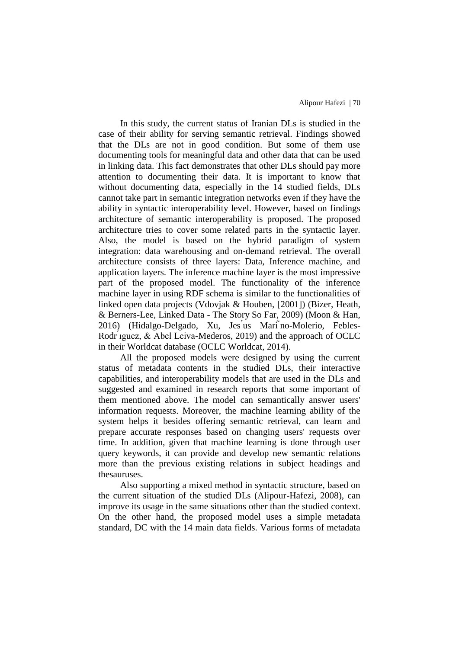In this study, the current status of Iranian DLs is studied in the case of their ability for serving semantic retrieval. Findings showed that the DLs are not in good condition. But some of them use documenting tools for meaningful data and other data that can be used in linking data. This fact demonstrates that other DLs should pay more attention to documenting their data. It is important to know that without documenting data, especially in the 14 studied fields, DLs cannot take part in semantic integration networks even if they have the ability in syntactic interoperability level. However, based on findings architecture of semantic interoperability is proposed. The proposed architecture tries to cover some related parts in the syntactic layer. Also, the model is based on the hybrid paradigm of system integration: data warehousing and on-demand retrieval. The overall architecture consists of three layers: Data, Inference machine, and application layers. The inference machine layer is the most impressive part of the proposed model. The functionality of the inference machine layer in using RDF schema is similar to the functionalities of linked open data projects (Vdovjak & Houben, [2001]) (Bizer, Heath, & Berners-Lee, Linked Data - The Story So Far, 2009) (Moon & Han, 2016) (Hidalgo-Delgado, Xu, Jes us Mari no-Molerio, Febles-Rodr <u>*iguez*</u>, & Abel Leiva-Mederos, 2019) and the approach of OCLC in their Worldcat database (OCLC Worldcat, 2014).

All the proposed models were designed by using the current status of metadata contents in the studied DLs, their interactive capabilities, and interoperability models that are used in the DLs and suggested and examined in research reports that some important of them mentioned above. The model can semantically answer users' information requests. Moreover, the machine learning ability of the system helps it besides offering semantic retrieval, can learn and prepare accurate responses based on changing users' requests over time. In addition, given that machine learning is done through user query keywords, it can provide and develop new semantic relations more than the previous existing relations in subject headings and thesauruses.

Also supporting a mixed method in syntactic structure, based on the current situation of the studied DLs (Alipour-Hafezi, 2008), can improve its usage in the same situations other than the studied context. On the other hand, the proposed model uses a simple metadata standard, DC with the 14 main data fields. Various forms of metadata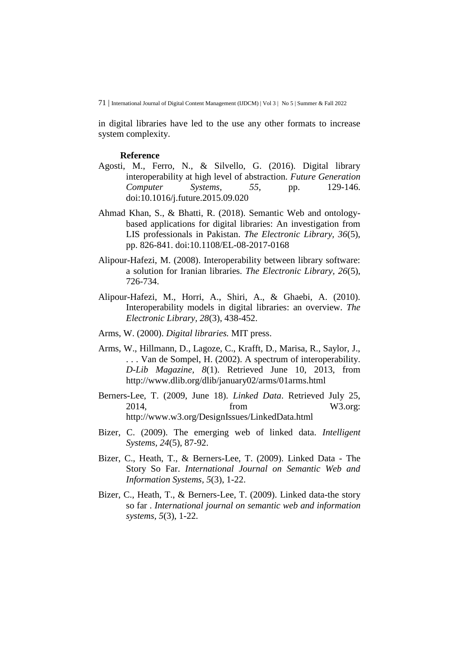in digital libraries have led to the use any other formats to increase system complexity.

#### **Reference**

- Agosti, M., Ferro, N., & Silvello, G. (2016). Digital library interoperability at high level of abstraction. *Future Generation Computer Systems, 55*, pp. 129-146. doi:10.1016/j.future.2015.09.020
- Ahmad Khan, S., & Bhatti, R. (2018). Semantic Web and ontologybased applications for digital libraries: An investigation from LIS professionals in Pakistan. *The Electronic Library, 36*(5), pp. 826-841. doi:10.1108/EL-08-2017-0168
- Alipour-Hafezi, M. (2008). Interoperability between library software: a solution for Iranian libraries. *The Electronic Library, 26*(5), 726-734.
- Alipour-Hafezi, M., Horri, A., Shiri, A., & Ghaebi, A. (2010). Interoperability models in digital libraries: an overview. *The Electronic Library, 28*(3), 438-452.
- Arms, W. (2000). *Digital libraries.* MIT press.
- Arms, W., Hillmann, D., Lagoze, C., Krafft, D., Marisa, R., Saylor, J., . . . Van de Sompel, H. (2002). A spectrum of interoperability. *D-Lib Magazine, 8*(1). Retrieved June 10, 2013, from http://www.dlib.org/dlib/january02/arms/01arms.html
- Berners-Lee, T. (2009, June 18). *Linked Data*. Retrieved July 25, 2014, from W3.org: http://www.w3.org/DesignIssues/LinkedData.html
- Bizer, C. (2009). The emerging web of linked data. *Intelligent Systems, 24*(5), 87-92.
- Bizer, C., Heath, T., & Berners-Lee, T. (2009). Linked Data The Story So Far. *International Journal on Semantic Web and Information Systems, 5*(3), 1-22.
- Bizer, C., Heath, T., & Berners-Lee, T. (2009). Linked data-the story so far . *International journal on semantic web and information systems, 5*(3), 1-22.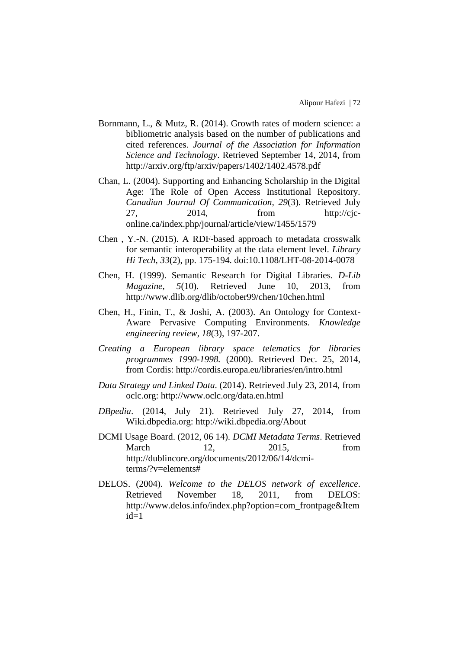- Bornmann, L., & Mutz, R. (2014). Growth rates of modern science: a bibliometric analysis based on the number of publications and cited references. *Journal of the Association for Information Science and Technology*. Retrieved September 14, 2014, from http://arxiv.org/ftp/arxiv/papers/1402/1402.4578.pdf
- Chan, L. (2004). Supporting and Enhancing Scholarship in the Digital Age: The Role of Open Access Institutional Repository. *Canadian Journal Of Communication, 29*(3). Retrieved July 27,  $2014$ , from http://cjconline.ca/index.php/journal/article/view/1455/1579
- Chen , Y.-N. (2015). A RDF-based approach to metadata crosswalk for semantic interoperability at the data element level. *Library Hi Tech, 33*(2), pp. 175-194. doi:10.1108/LHT-08-2014-0078
- Chen, H. (1999). Semantic Research for Digital Libraries. *D-Lib Magazine, 5*(10). Retrieved June 10, 2013, from http://www.dlib.org/dlib/october99/chen/10chen.html
- Chen, H., Finin, T., & Joshi, A. (2003). An Ontology for Context-Aware Pervasive Computing Environments. *Knowledge engineering review, 18*(3), 197-207.
- *Creating a European library space telematics for libraries programmes 1990-1998.* (2000). Retrieved Dec. 25, 2014, from Cordis: http://cordis.europa.eu/libraries/en/intro.html
- *Data Strategy and Linked Data*. (2014). Retrieved July 23, 2014, from oclc.org: http://www.oclc.org/data.en.html
- *DBpedia*. (2014, July 21). Retrieved July 27, 2014, from Wiki.dbpedia.org: http://wiki.dbpedia.org/About
- DCMI Usage Board. (2012, 06 14). *DCMI Metadata Terms*. Retrieved March 12, 2015, from http://dublincore.org/documents/2012/06/14/dcmiterms/?v=elements#
- DELOS. (2004). *Welcome to the DELOS network of excellence*. Retrieved November 18, 2011, from DELOS: http://www.delos.info/index.php?option=com\_frontpage&Item  $id=1$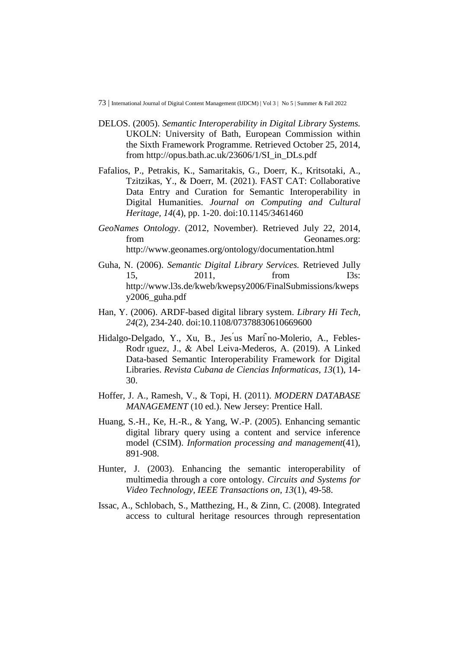- DELOS. (2005). *Semantic Interoperability in Digital Library Systems.* UKOLN: University of Bath, European Commission within the Sixth Framework Programme. Retrieved October 25, 2014, from http://opus.bath.ac.uk/23606/1/SI\_in\_DLs.pdf
- Fafalios, P., Petrakis, K., Samaritakis, G., Doerr, K., Kritsotaki, A., Tzitzikas, Y., & Doerr, M. (2021). FAST CAT: Collaborative Data Entry and Curation for Semantic Interoperability in Digital Humanities. *Journal on Computing and Cultural Heritage, 14*(4), pp. 1-20. doi:10.1145/3461460
- *GeoNames Ontology*. (2012, November). Retrieved July 22, 2014, from Geonames.org: http://www.geonames.org/ontology/documentation.html
- Guha, N. (2006). *Semantic Digital Library Services.* Retrieved Jully 15, 2011, from I3s: http://www.l3s.de/kweb/kwepsy2006/FinalSubmissions/kweps y2006\_guha.pdf
- Han, Y. (2006). ARDF-based digital library system. *Library Hi Tech, 24*(2), 234-240. doi:10.1108/07378830610669600
- Hidalgo-Delgado, Y., Xu, B., Jes us Mari no-Molerio, A., Febles-Rodr ́ıguez, J., & Abel Leiva-Mederos, A. (2019). A Linked Data-based Semantic Interoperability Framework for Digital Libraries. *Revista Cubana de Ciencias Informaticas, 13*(1), 14- 30.
- Hoffer, J. A., Ramesh, V., & Topi, H. (2011). *MODERN DATABASE MANAGEMENT* (10 ed.). New Jersey: Prentice Hall.
- Huang, S.-H., Ke, H.-R., & Yang, W.-P. (2005). Enhancing semantic digital library query using a content and service inference model (CSIM). *Information processing and management*(41), 891-908.
- Hunter, J. (2003). Enhancing the semantic interoperability of multimedia through a core ontology. *Circuits and Systems for Video Technology, IEEE Transactions on, 13*(1), 49-58.
- Issac, A., Schlobach, S., Matthezing, H., & Zinn, C. (2008). Integrated access to cultural heritage resources through representation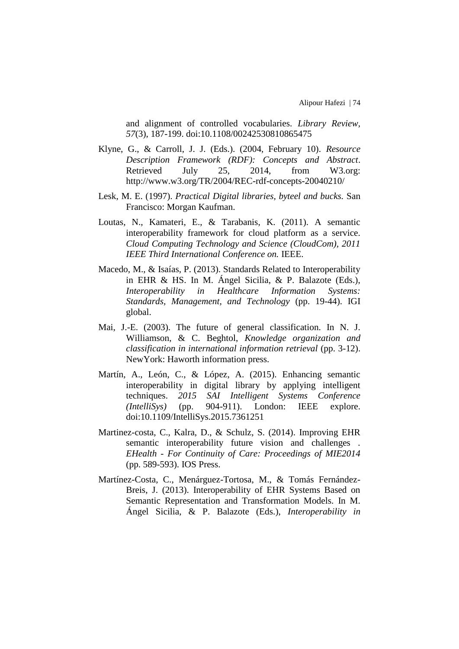and alignment of controlled vocabularies. *Library Review, 57*(3), 187-199. doi:10.1108/00242530810865475

- Klyne, G., & Carroll, J. J. (Eds.). (2004, February 10). *Resource Description Framework (RDF): Concepts and Abstract*. Retrieved July 25, 2014, from W3.org: http://www.w3.org/TR/2004/REC-rdf-concepts-20040210/
- Lesk, M. E. (1997). *Practical Digital libraries, byteel and bucks.* San Francisco: Morgan Kaufman.
- Loutas, N., Kamateri, E., & Tarabanis, K. (2011). A semantic interoperability framework for cloud platform as a service. *Cloud Computing Technology and Science (CloudCom), 2011 IEEE Third International Conference on.* IEEE.
- Macedo, M., & Isaías, P. (2013). Standards Related to Interoperability in EHR & HS. In M. Ángel Sicilia, & P. Balazote (Eds.), *Interoperability in Healthcare Information Systems: Standards, Management, and Technology* (pp. 19-44). IGI global.
- Mai, J.-E. (2003). The future of general classification. In N. J. Williamson, & C. Beghtol, *Knowledge organization and classification in international information retrieval* (pp. 3-12). NewYork: Haworth information press.
- Martín, A., León, C., & López, A. (2015). Enhancing semantic interoperability in digital library by applying intelligent techniques. *2015 SAI Intelligent Systems Conference (IntelliSys)* (pp. 904-911). London: IEEE explore. doi:10.1109/IntelliSys.2015.7361251
- Martinez-costa, C., Kalra, D., & Schulz, S. (2014). Improving EHR semantic interoperability future vision and challenges . *EHealth - For Continuity of Care: Proceedings of MIE2014* (pp. 589-593). IOS Press.
- Martínez-Costa, C., Menárguez-Tortosa, M., & Tomás Fernández-Breis, J. (2013). Interoperability of EHR Systems Based on Semantic Representation and Transformation Models. In M. Ángel Sicilia, & P. Balazote (Eds.), *Interoperability in*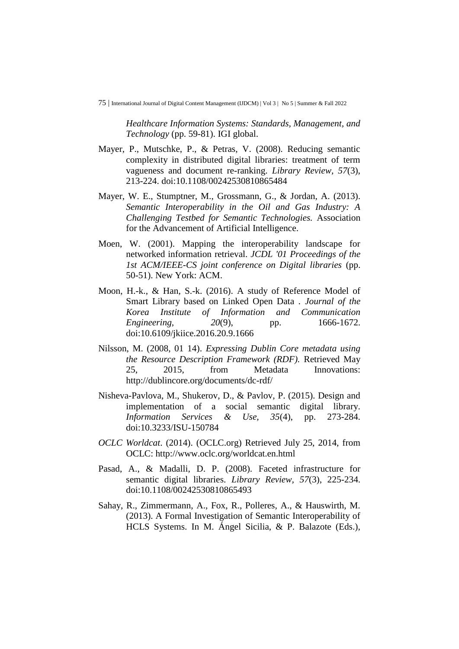*Healthcare Information Systems: Standards, Management, and Technology* (pp. 59-81). IGI global.

- Mayer, P., Mutschke, P., & Petras, V. (2008). Reducing semantic complexity in distributed digital libraries: treatment of term vagueness and document re-ranking. *Library Review, 57*(3), 213-224. doi:10.1108/00242530810865484
- Mayer, W. E., Stumptner, M., Grossmann, G., & Jordan, A. (2013). *Semantic Interoperability in the Oil and Gas Industry: A Challenging Testbed for Semantic Technologies.* Association for the Advancement of Artificial Intelligence.
- Moen, W. (2001). Mapping the interoperability landscape for networked information retrieval. *JCDL '01 Proceedings of the 1st ACM/IEEE-CS joint conference on Digital libraries* (pp. 50-51). New York: ACM.
- Moon, H.-k., & Han, S.-k. (2016). A study of Reference Model of Smart Library based on Linked Open Data . *Journal of the Korea Institute of Information and Communication Engineering,* 20(9), pp. 1666-1672. doi:10.6109/jkiice.2016.20.9.1666
- Nilsson, M. (2008, 01 14). *Expressing Dublin Core metadata using the Resource Description Framework (RDF).* Retrieved May 25, 2015, from Metadata Innovations: http://dublincore.org/documents/dc-rdf/
- Nisheva-Pavlova, M., Shukerov, D., & Pavlov, P. (2015). Design and implementation of a social semantic digital library. *Information Services & Use, 35*(4), pp. 273-284. doi:10.3233/ISU-150784
- *OCLC Worldcat*. (2014). (OCLC.org) Retrieved July 25, 2014, from OCLC: http://www.oclc.org/worldcat.en.html
- Pasad, A., & Madalli, D. P. (2008). Faceted infrastructure for semantic digital libraries. *Library Review, 57*(3), 225-234. doi:10.1108/00242530810865493
- Sahay, R., Zimmermann, A., Fox, R., Polleres, A., & Hauswirth, M. (2013). A Formal Investigation of Semantic Interoperability of HCLS Systems. In M. Ángel Sicilia, & P. Balazote (Eds.),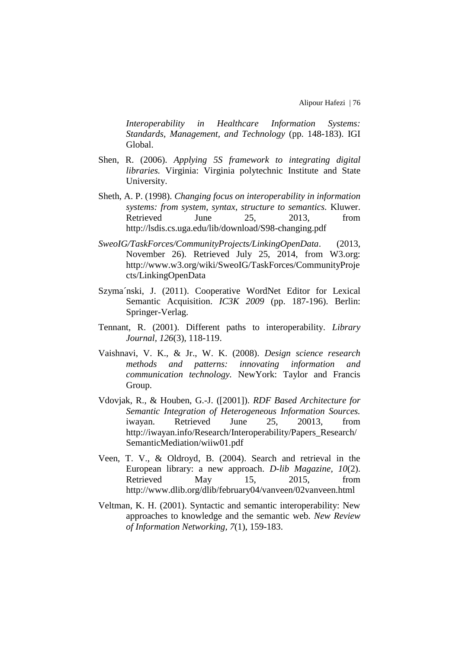*Interoperability in Healthcare Information Systems: Standards, Management, and Technology* (pp. 148-183). IGI Global.

- Shen, R. (2006). *Applying 5S framework to integrating digital libraries.* Virginia: Virginia polytechnic Institute and State University.
- Sheth, A. P. (1998). *Changing focus on interoperability in information systems: from system, syntax, structure to semantics.* Kluwer. Retrieved June 25, 2013, from http://lsdis.cs.uga.edu/lib/download/S98-changing.pdf
- *SweoIG/TaskForces/CommunityProjects/LinkingOpenData*. (2013, November 26). Retrieved July 25, 2014, from W3.org: http://www.w3.org/wiki/SweoIG/TaskForces/CommunityProje cts/LinkingOpenData
- Szyma´nski, J. (2011). Cooperative WordNet Editor for Lexical Semantic Acquisition. *IC3K 2009* (pp. 187-196). Berlin: Springer-Verlag.
- Tennant, R. (2001). Different paths to interoperability. *Library Journal, 126*(3), 118-119.
- Vaishnavi, V. K., & Jr., W. K. (2008). *Design science research methods and patterns: innovating information and communication technology.* NewYork: Taylor and Francis Group.
- Vdovjak, R., & Houben, G.-J. ([2001]). *RDF Based Architecture for Semantic Integration of Heterogeneous Information Sources.* iwayan. Retrieved June 25, 20013, from http://iwayan.info/Research/Interoperability/Papers\_Research/ SemanticMediation/wiiw01.pdf
- Veen, T. V., & Oldroyd, B. (2004). Search and retrieval in the European library: a new approach. *D-lib Magazine, 10*(2). Retrieved May 15, 2015, from http://www.dlib.org/dlib/february04/vanveen/02vanveen.html
- Veltman, K. H. (2001). Syntactic and semantic interoperability: New approaches to knowledge and the semantic web. *New Review of Information Networking, 7*(1), 159-183.